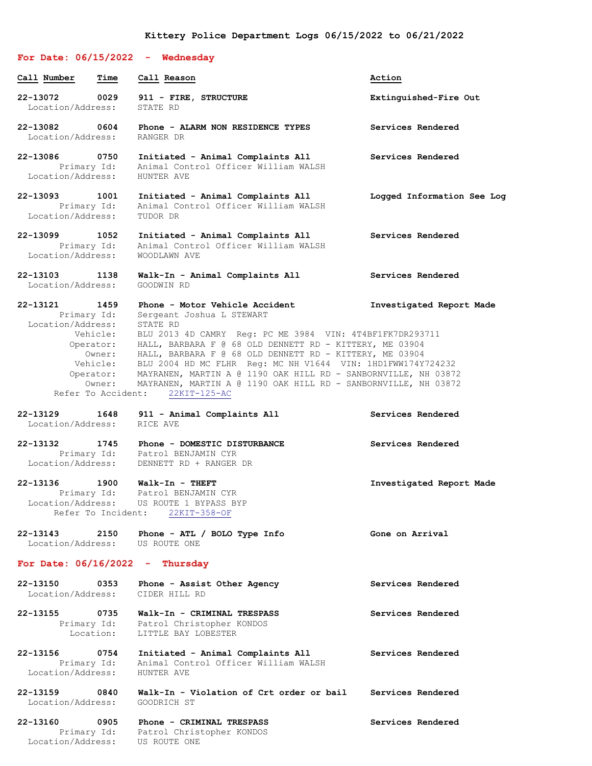## **For Date: 06/15/2022 - Wednesday Call Number Time Call Reason Action 22-13072 0029 911 - FIRE, STRUCTURE Extinguished-Fire Out** Location/Address: STATE RD **22-13082 0604 Phone - ALARM NON RESIDENCE TYPES Services Rendered** Location/Address: RANGER DR **22-13086 0750 Initiated - Animal Complaints All Services Rendered** Primary Id: Animal Control Officer William WALSH Location/Address: HUNTER AVE **22-13093 1001 Initiated - Animal Complaints All Logged Information See Log** Primary Id: Animal Control Officer William WALSH Location/Address: TUDOR DR **22-13099 1052 Initiated - Animal Complaints All Services Rendered** Primary Id: Animal Control Officer William WALSH Location/Address: WOODLAWN AVE **22-13103 1138 Walk-In - Animal Complaints All Services Rendered** Location/Address: **22-13121 1459 Phone - Motor Vehicle Accident Investigated Report Made** Primary Id: Sergeant Joshua L STEWART Location/Address: STATE RD Vehicle: BLU 2013 4D CAMRY Reg: PC ME 3984 VIN: 4T4BF1FK7DR293711 Operator: HALL, BARBARA F @ 68 OLD DENNETT RD - KITTERY, ME 03904 Owner: HALL, BARBARA F @ 68 OLD DENNETT RD - KITTERY, ME 03904 Vehicle: BLU 2004 HD MC FLHR Reg: MC NH V1644 VIN: 1HD1FWW174Y724232 Operator: MAYRANEN, MARTIN A @ 1190 OAK HILL RD - SANBORNVILLE, NH 03872 Owner: MAYRANEN, MARTIN A @ 1190 OAK HILL RD - SANBORNVILLE, NH 03872 Refer To Accident: 22KIT-125-AC **22-13129 1648 911 - Animal Complaints All Services Rendered** Location/Address: RICE AVE **22-13132 1745 Phone - DOMESTIC DISTURBANCE Services Rendered** Primary Id: Patrol BENJAMIN CYR Location/Address: DENNETT RD + RANGER DR **22-13136 1900 Walk-In - THEFT Investigated Report Made** Primary Id: Patrol BENJAMIN CYR Location/Address: US ROUTE 1 BYPASS BYP Refer To Incident: 22KIT-358-OF **22-13143 2150 Phone - ATL / BOLO Type Info Gone on Arrival** Location/Address: US ROUTE ONE **For Date: 06/16/2022 - Thursday 22-13150 0353 Phone - Assist Other Agency Services Rendered** Location/Address: CIDER HILL RD **22-13155 0735 Walk-In - CRIMINAL TRESPASS Services Rendered** Primary Id: Patrol Christopher KONDOS Location: LITTLE BAY LOBESTER **22-13156 0754 Initiated - Animal Complaints All Services Rendered** Primary Id: Animal Control Officer William WALSH Location/Address: HUNTER AVE **22-13159 0840 Walk-In - Violation of Crt order or bail Services Rendered**

Location/Address: GOODRICH ST

**22-13160 0905 Phone - CRIMINAL TRESPASS Services Rendered** Primary Id: Patrol Christopher KONDOS Location/Address: US ROUTE ONE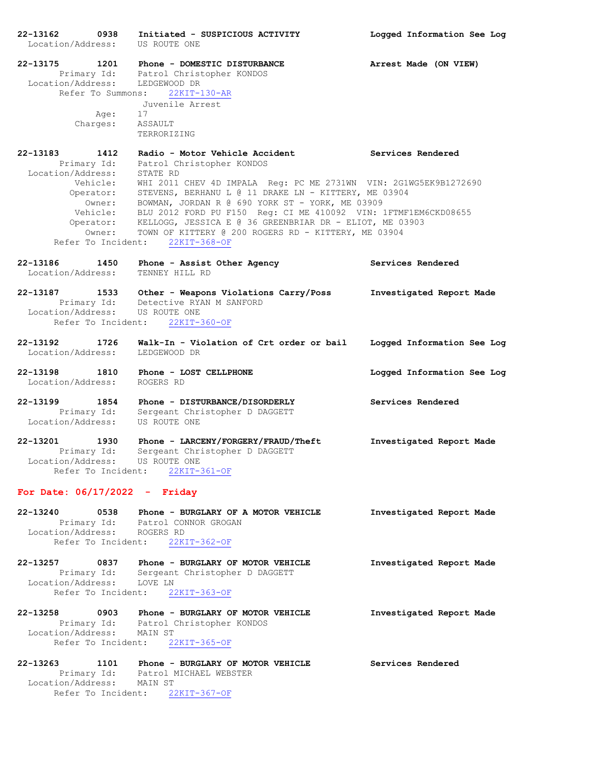**22-13162 0938 Initiated - SUSPICIOUS ACTIVITY Logged Information See Log** Location/Address: US ROUTE ONE **22-13175 1201 Phone - DOMESTIC DISTURBANCE Arrest Made (ON VIEW)** Primary Id: Patrol Christopher KONDOS Location/Address: LEDGEWOOD DR Refer To Summons: 22KIT-130-AR Juvenile Arrest Age: 17 Charges: ASSAULT TERRORIZING **22-13183 1412 Radio - Motor Vehicle Accident Services Rendered** Primary Id: Patrol Christopher KONDOS Location/Address: STATE RD Vehicle: WHI 2011 CHEV 4D IMPALA Reg: PC ME 2731WN VIN: 2G1WG5EK9B1272690 Operator: STEVENS, BERHANU L @ 11 DRAKE LN - KITTERY, ME 03904 Owner: BOWMAN, JORDAN R @ 690 YORK ST - YORK, ME 03909 Vehicle: BLU 2012 FORD PU F150 Reg: CI ME 410092 VIN: 1FTMF1EM6CKD08655 Operator: KELLOGG, JESSICA E @ 36 GREENBRIAR DR - ELIOT, ME 03903 Owner: TOWN OF KITTERY @ 200 ROGERS RD - KITTERY, ME 03904 Refer To Incident: 22KIT-368-OF **22-13186 1450 Phone - Assist Other Agency Services Rendered** Location/Address: TENNEY HILL RD **22-13187 1533 Other - Weapons Violations Carry/Poss Investigated Report Made** Primary Id: Detective RYAN M SANFORD Location/Address: US ROUTE ONE Refer To Incident: 22KIT-360-OF **22-13192 1726 Walk-In - Violation of Crt order or bail Logged Information See Log** Location/Address: LEDGEWOOD DR **22-13198 1810 Phone - LOST CELLPHONE Logged Information See Log** Location/Address: ROGERS RD **22-13199 1854 Phone - DISTURBANCE/DISORDERLY Services Rendered** Primary Id: Sergeant Christopher D DAGGETT Location/Address: US ROUTE ONE **22-13201 1930 Phone - LARCENY/FORGERY/FRAUD/Theft Investigated Report Made** Primary Id: Sergeant Christopher D DAGGETT Location/Address: US ROUTE ONE Refer To Incident: 22KIT-361-OF **For Date: 06/17/2022 - Friday 22-13240 0538 Phone - BURGLARY OF A MOTOR VEHICLE Investigated Report Made** Primary Id: Patrol CONNOR GROGAN Location/Address: ROGERS RD Refer To Incident: 22KIT-362-OF **22-13257 0837 Phone - BURGLARY OF MOTOR VEHICLE Investigated Report Made** Primary Id: Sergeant Christopher D DAGGETT Location/Address: LOVE LN Refer To Incident: 22KIT-363-OF **22-13258 0903 Phone - BURGLARY OF MOTOR VEHICLE Investigated Report Made** Primary Id: Patrol Christopher KONDOS Location/Address: MAIN ST Refer To Incident: 22KIT-365-OF **22-13263 1101 Phone - BURGLARY OF MOTOR VEHICLE Services Rendered**

 Primary Id: Patrol MICHAEL WEBSTER Primary Id: Patrol M<br>Location/Address: MAIN ST Refer To Incident: 22KIT-367-OF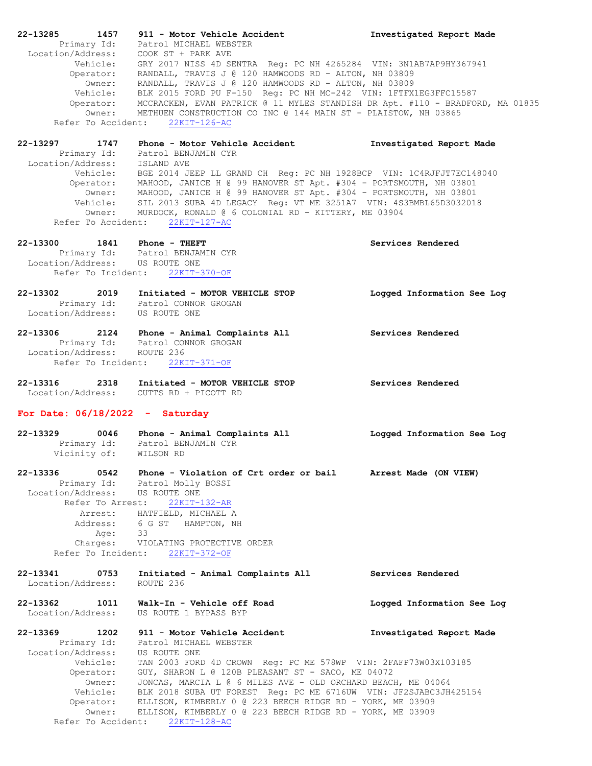| 22-13285          | 1457                | 911 - Motor Vehicle Accident                                                            | Investigated Report Made   |
|-------------------|---------------------|-----------------------------------------------------------------------------------------|----------------------------|
|                   |                     | Primary Id: Patrol MICHAEL WEBSTER                                                      |                            |
|                   |                     | Location/Address: COOK ST + PARK AVE                                                    |                            |
|                   |                     | Vehicle: GRY 2017 NISS 4D SENTRA Reg: PC NH 4265284 VIN: 3N1AB7AP9HY367941              |                            |
|                   |                     | Operator: RANDALL, TRAVIS J @ 120 HAMWOODS RD - ALTON, NH 03809                         |                            |
|                   |                     | Owner: RANDALL, TRAVIS J @ 120 HAMWOODS RD - ALTON, NH 03809                            |                            |
|                   |                     | Vehicle: BLK 2015 FORD PU F-150 Reg: PC NH MC-242 VIN: 1FTFX1EG3FFC15587                |                            |
|                   |                     | Operator: MCCRACKEN, EVAN PATRICK @ 11 MYLES STANDISH DR Apt. #110 - BRADFORD, MA 01835 |                            |
|                   |                     | Owner: METHUEN CONSTRUCTION CO INC @ 144 MAIN ST - PLAISTOW, NH 03865                   |                            |
|                   | Refer To Accident:  | $22KIT-126-AC$                                                                          |                            |
| 22-13297          | 1747                | Phone - Motor Vehicle Accident                                                          | Investigated Report Made   |
|                   |                     | Primary Id: Patrol BENJAMIN CYR                                                         |                            |
|                   |                     | Location/Address: ISLAND AVE                                                            |                            |
|                   |                     | Vehicle: BGE 2014 JEEP LL GRAND CH Reg: PC NH 1928BCP VIN: 1C4RJFJT7EC148040            |                            |
|                   |                     | Operator: MAHOOD, JANICE H @ 99 HANOVER ST Apt. #304 - PORTSMOUTH, NH 03801             |                            |
|                   |                     | Owner: MAHOOD, JANICE H @ 99 HANOVER ST Apt. #304 - PORTSMOUTH, NH 03801                |                            |
|                   |                     | Vehicle: SIL 2013 SUBA 4D LEGACY Reg: VT ME 3251A7 VIN: 4S3BMBL65D3032018               |                            |
|                   |                     | Owner: MURDOCK, RONALD @ 6 COLONIAL RD - KITTERY, ME 03904                              |                            |
|                   | Refer To Accident:  | $22KIT-127-AC$                                                                          |                            |
|                   |                     | 22-13300 1841 Phone - THEFT                                                             | Services Rendered          |
|                   |                     | Primary Id: Patrol BENJAMIN CYR                                                         |                            |
|                   |                     | Location/Address: US ROUTE ONE                                                          |                            |
|                   | Refer To Incident:  | 22KIT-370-OF                                                                            |                            |
| 22-13302          | 2019                | Initiated - MOTOR VEHICLE STOP                                                          | Logged Information See Log |
|                   |                     | Primary Id: Patrol CONNOR GROGAN                                                        |                            |
|                   |                     | Location/Address: US ROUTE ONE                                                          |                            |
|                   |                     |                                                                                         |                            |
|                   |                     | 22-13306 2124 Phone - Animal Complaints All                                             | Services Rendered          |
|                   |                     | Primary Id: Patrol CONNOR GROGAN                                                        |                            |
|                   |                     | Location/Address: ROUTE 236                                                             |                            |
|                   |                     | Refer To Incident: 22KIT-371-OF                                                         |                            |
|                   |                     |                                                                                         |                            |
| 22-13316 2318     |                     | Initiated - MOTOR VEHICLE STOP                                                          | Services Rendered          |
|                   |                     | Location/Address: CUTTS RD + PICOTT RD                                                  |                            |
|                   |                     | For Date: $06/18/2022 -$ Saturday                                                       |                            |
|                   |                     |                                                                                         |                            |
| 22-13329          |                     | 0046 Phone - Animal Complaints All                                                      | Logged Information See Log |
|                   |                     | Primary Id: Patrol BENJAMIN CYR                                                         |                            |
|                   |                     | Vicinity of: WILSON RD                                                                  |                            |
|                   |                     |                                                                                         |                            |
| 22-13336          | 0542<br>Primary Id: | Phone - Violation of Crt order or bail Arrest Made (ON VIEW)                            |                            |
| Location/Address: |                     | Patrol Molly BOSSI<br>US ROUTE ONE                                                      |                            |
|                   | Refer To Arrest:    | $22KIT-132-AR$                                                                          |                            |
|                   |                     |                                                                                         |                            |
|                   | Arrest:<br>Address: | HATFIELD, MICHAEL A<br>6 G ST<br>HAMPTON, NH                                            |                            |
|                   | Age:                | 33                                                                                      |                            |
|                   | Charges:            | VIOLATING PROTECTIVE ORDER                                                              |                            |
|                   | Refer To Incident:  | 22KIT-372-OF                                                                            |                            |
|                   |                     |                                                                                         |                            |
| 22-13341          | 0753                | Initiated - Animal Complaints All                                                       | Services Rendered          |
| Location/Address: |                     | ROUTE 236                                                                               |                            |
| 22-13362          | 1011                | Walk-In - Vehicle off Road                                                              | Logged Information See Log |
| Location/Address: |                     | US ROUTE 1 BYPASS BYP                                                                   |                            |
|                   |                     |                                                                                         |                            |
| 22-13369          | 1202                | 911 - Motor Vehicle Accident                                                            | Investigated Report Made   |
|                   | Primary Id:         | Patrol MICHAEL WEBSTER                                                                  |                            |
|                   |                     | Location/Address: US ROUTE ONE                                                          |                            |
|                   | Vehicle:            | TAN 2003 FORD 4D CROWN Req: PC ME 578WP VIN: 2FAFP73W03X103185                          |                            |
|                   | Operator:           | GUY, SHARON L @ 120B PLEASANT ST - SACO, ME 04072                                       |                            |
|                   | Owner:              | JONCAS, MARCIA L @ 6 MILES AVE - OLD ORCHARD BEACH, ME 04064                            |                            |
|                   | Vehicle:            | BLK 2018 SUBA UT FOREST Req: PC ME 6716UW VIN: JF2SJABC3JH425154                        |                            |
|                   | Operator:           | ELLISON, KIMBERLY 0 @ 223 BEECH RIDGE RD - YORK, ME 03909                               |                            |
|                   | Owner:              | ELLISON, KIMBERLY 0 @ 223 BEECH RIDGE RD - YORK, ME 03909                               |                            |
|                   | Refer To Accident:  | $22KIT-128-AC$                                                                          |                            |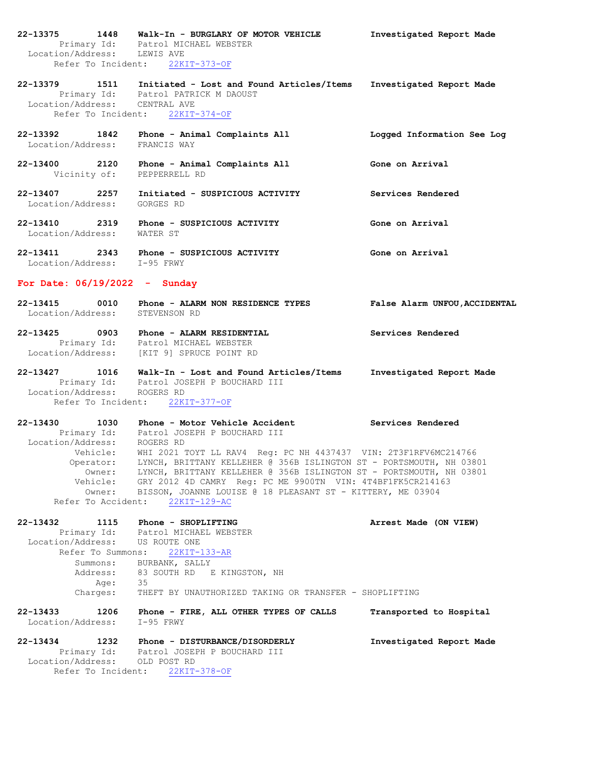**22-13375 1448 Walk-In - BURGLARY OF MOTOR VEHICLE Investigated Report Made** Primary Id: Patrol MICHAEL WEBSTER Location/Address: LEWIS AVE Refer To Incident: 22KIT-373-OF

**22-13379 1511 Initiated - Lost and Found Articles/Items Investigated Report Made** Primary Id: Patrol PATRICK M DAOUST Location/Address: CENTRAL AVE Refer To Incident: 22KIT-374-OF

- **22-13392 1842 Phone - Animal Complaints All Logged Information See Log** Location/Address: FRANCIS WAY
- **22-13400 2120 Phone - Animal Complaints All Gone on Arrival** Vicinity of: PEPPERRELL RD
- **22-13407 2257 Initiated - SUSPICIOUS ACTIVITY Services Rendered** Location/Address: GORGES RD
- **22-13410 2319 Phone - SUSPICIOUS ACTIVITY Gone on Arrival** Location/Address: WATER ST
- **22-13411 2343 Phone - SUSPICIOUS ACTIVITY Gone on Arrival** Location/Address: I-95 FRWY

## **For Date: 06/19/2022 - Sunday**

- **22-13415 0010 Phone - ALARM NON RESIDENCE TYPES False Alarm UNFOU,ACCIDENTAL** Location/Address: STEVENSON RD
- **22-13425 0903 Phone - ALARM RESIDENTIAL Services Rendered** Primary Id: Patrol MICHAEL WEBSTER Location/Address: [KIT 9] SPRUCE POINT RD

**22-13427 1016 Walk-In - Lost and Found Articles/Items Investigated Report Made** Primary Id: Patrol JOSEPH P BOUCHARD III Location/Address: ROGERS RD Refer To Incident: 22KIT-377-OF

**22-13430 1030 Phone - Motor Vehicle Accident Services Rendered** Primary Id: Patrol JOSEPH P BOUCHARD III Location/Address: ROGERS RD Vehicle: WHI 2021 TOYT LL RAV4 Reg: PC NH 4437437 VIN: 2T3F1RFV6MC214766 Operator: LYNCH, BRITTANY KELLEHER @ 356B ISLINGTON ST - PORTSMOUTH, NH 03801 Owner: LYNCH, BRITTANY KELLEHER @ 356B ISLINGTON ST - PORTSMOUTH, NH 03801 Vehicle: GRY 2012 4D CAMRY Reg: PC ME 9900TN VIN: 4T4BF1FK5CR214163 Owner: BISSON, JOANNE LOUISE @ 18 PLEASANT ST - KITTERY, ME 03904 Refer To Accident: 22KIT-129-AC

**22-13432 1115 Phone - SHOPLIFTING Arrest Made (ON VIEW)** Primary Id: Patrol MICHAEL WEBSTER Location/Address: US ROUTE ONE Refer To Summons: 22KIT-133-AR Summons: BURBANK, SALLY<br>Address: 83 SOUTH RD E 83 SOUTH RD E KINGSTON, NH Age: 35 Charges: THEFT BY UNAUTHORIZED TAKING OR TRANSFER - SHOPLIFTING **22-13433 1206 Phone - FIRE, ALL OTHER TYPES OF CALLS Transported to Hospital** Location/Address: I-95 FRWY **22-13434 1232 Phone - DISTURBANCE/DISORDERLY Investigated Report Made** Primary Id: Patrol JOSEPH P BOUCHARD III

 Location/Address: OLD POST RD Refer To Incident: 22KIT-378-OF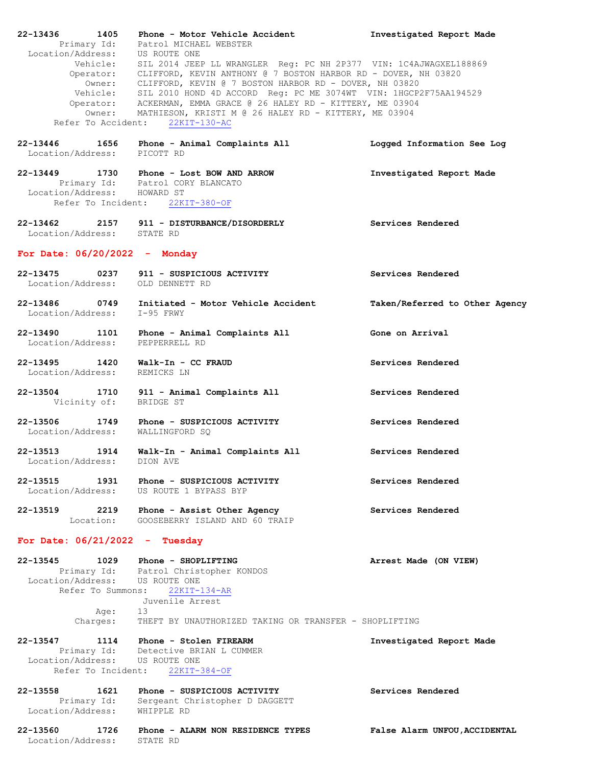| 22-13436                         | 1405      | Phone - Motor Vehicle Accident                                                                                                                                                                                 | Investigated Report Made       |
|----------------------------------|-----------|----------------------------------------------------------------------------------------------------------------------------------------------------------------------------------------------------------------|--------------------------------|
|                                  |           | Primary Id: Patrol MICHAEL WEBSTER                                                                                                                                                                             |                                |
|                                  |           |                                                                                                                                                                                                                |                                |
|                                  |           | Location/Address: US ROUTE ONE<br>Vehicle: SIL 2014 JEEP LL WRANGLER Reg: PC NH 2P377 VIN: 1C4AJWAGXEL188869                                                                                                   |                                |
|                                  |           |                                                                                                                                                                                                                |                                |
|                                  |           | Operator: CLIFFORD, KEVIN ANTHONY @ 7 BOSTON HARBOR RD - DOVER, NH 03820                                                                                                                                       |                                |
|                                  |           |                                                                                                                                                                                                                |                                |
|                                  |           | Owner: CLIFFORD, KEVIN @ 7 BOSTON HARBOR RD - DOVER, NH 03820<br>Vehicle: SIL 2010 HOND 4D ACCORD Reg: PC ME 3074WT VIN: 1HGCP2F75AA194529<br>Operator: ACKERMAN, EMMA GRACE @ 26 HALEY RD - KITTERY, ME 03904 |                                |
|                                  |           |                                                                                                                                                                                                                |                                |
|                                  |           |                                                                                                                                                                                                                |                                |
|                                  |           | Owner: MATHIESON, KRISTI M @ 26 HALEY RD - KITTERY, ME 03904                                                                                                                                                   |                                |
| Refer To Accident:               |           | $22KIT-130-AC$                                                                                                                                                                                                 |                                |
|                                  |           |                                                                                                                                                                                                                |                                |
| 22-13446 1656                    |           | Phone - Animal Complaints All                                                                                                                                                                                  | Logged Information See Log     |
| Location/Address: PICOTT RD      |           |                                                                                                                                                                                                                |                                |
|                                  |           |                                                                                                                                                                                                                |                                |
|                                  |           |                                                                                                                                                                                                                |                                |
|                                  |           | 22-13449 1730 Phone - Lost BOW AND ARROW                                                                                                                                                                       | Investigated Report Made       |
|                                  |           | Primary Id: Patrol CORY BLANCATO                                                                                                                                                                               |                                |
| Location/Address: HOWARD ST      |           |                                                                                                                                                                                                                |                                |
|                                  |           | Refer To Incident: 22KIT-380-OF                                                                                                                                                                                |                                |
|                                  |           |                                                                                                                                                                                                                |                                |
|                                  |           |                                                                                                                                                                                                                |                                |
|                                  |           | 22-13462 2157 911 - DISTURBANCE/DISORDERLY Services Rendered                                                                                                                                                   |                                |
| Location/Address: STATE RD       |           |                                                                                                                                                                                                                |                                |
|                                  |           |                                                                                                                                                                                                                |                                |
|                                  |           |                                                                                                                                                                                                                |                                |
| For Date: $06/20/2022 -$ Monday  |           |                                                                                                                                                                                                                |                                |
|                                  |           |                                                                                                                                                                                                                |                                |
| 22-13475 0237                    |           | 911 - SUSPICIOUS ACTIVITY                                                                                                                                                                                      | Services Rendered              |
|                                  |           |                                                                                                                                                                                                                |                                |
| Location/Address:                |           | OLD DENNETT RD                                                                                                                                                                                                 |                                |
|                                  |           |                                                                                                                                                                                                                |                                |
| 22-13486 0749                    |           | Initiated - Motor Vehicle Accident                                                                                                                                                                             | Taken/Referred to Other Agency |
| Location/Address:                |           | $I-95$ FRWY                                                                                                                                                                                                    |                                |
|                                  |           |                                                                                                                                                                                                                |                                |
|                                  |           |                                                                                                                                                                                                                |                                |
| 22-13490 1101                    |           | Phone - Animal Complaints All                                                                                                                                                                                  | Gone on Arrival                |
| Location/Address: PEPPERRELL RD  |           |                                                                                                                                                                                                                |                                |
|                                  |           |                                                                                                                                                                                                                |                                |
| 22-13495 1420                    |           | Walk-In - CC FRAUD                                                                                                                                                                                             | Services Rendered              |
|                                  |           |                                                                                                                                                                                                                |                                |
| Location/Address:                |           | REMICKS LN                                                                                                                                                                                                     |                                |
|                                  |           |                                                                                                                                                                                                                |                                |
| 22-13504 1710                    |           | 911 - Animal Complaints All                                                                                                                                                                                    | Services Rendered              |
| Vicinity of:                     |           | BRIDGE ST                                                                                                                                                                                                      |                                |
|                                  |           |                                                                                                                                                                                                                |                                |
|                                  |           |                                                                                                                                                                                                                |                                |
| 22-13506 1749                    |           | Phone - SUSPICIOUS ACTIVITY                                                                                                                                                                                    | Services Rendered              |
| Location/Address:                |           | WALLINGFORD SQ                                                                                                                                                                                                 |                                |
|                                  |           |                                                                                                                                                                                                                |                                |
| 22-13513                         | 1914      |                                                                                                                                                                                                                | Services Rendered              |
|                                  |           | Walk-In - Animal Complaints All                                                                                                                                                                                |                                |
| Location/Address:                |           | DION AVE                                                                                                                                                                                                       |                                |
|                                  |           |                                                                                                                                                                                                                |                                |
| 22-13515                         | 1931      | Phone - SUSPICIOUS ACTIVITY                                                                                                                                                                                    | Services Rendered              |
| Location/Address:                |           | US ROUTE 1 BYPASS BYP                                                                                                                                                                                          |                                |
|                                  |           |                                                                                                                                                                                                                |                                |
|                                  |           |                                                                                                                                                                                                                |                                |
| 22-13519                         |           | 2219 Phone - Assist Other Agency                                                                                                                                                                               | Services Rendered              |
|                                  | Location: | GOOSEBERRY ISLAND AND 60 TRAIP                                                                                                                                                                                 |                                |
|                                  |           |                                                                                                                                                                                                                |                                |
|                                  |           |                                                                                                                                                                                                                |                                |
| For Date: $06/21/2022 - Tuesday$ |           |                                                                                                                                                                                                                |                                |
|                                  |           |                                                                                                                                                                                                                |                                |
| 22-13545                         |           | 1029 Phone - SHOPLIFTING                                                                                                                                                                                       | Arrest Made (ON VIEW)          |
|                                  |           | Primary Id: Patrol Christopher KONDOS                                                                                                                                                                          |                                |
| Location/Address: US ROUTE ONE   |           |                                                                                                                                                                                                                |                                |
|                                  |           |                                                                                                                                                                                                                |                                |
| Refer To Summons:                |           | 22KIT-134-AR                                                                                                                                                                                                   |                                |
|                                  |           | Juvenile Arrest                                                                                                                                                                                                |                                |
|                                  | Age:      | 13                                                                                                                                                                                                             |                                |
|                                  | Charges:  | THEFT BY UNAUTHORIZED TAKING OR TRANSFER - SHOPLIFTING                                                                                                                                                         |                                |
|                                  |           |                                                                                                                                                                                                                |                                |
|                                  |           |                                                                                                                                                                                                                |                                |
| 22-13547                         |           | 1114 Phone - Stolen FIREARM                                                                                                                                                                                    | Investigated Report Made       |
|                                  |           |                                                                                                                                                                                                                |                                |
|                                  |           | Primary Id: Detective BRIAN L CUMMER<br>Location/Address: US ROUTE ONE                                                                                                                                         |                                |
| Refer To Incident:               |           |                                                                                                                                                                                                                |                                |
|                                  |           | $22KIT-384-OF$                                                                                                                                                                                                 |                                |
|                                  |           |                                                                                                                                                                                                                |                                |
| 22-13558                         | 1621      | Phone - SUSPICIOUS ACTIVITY                                                                                                                                                                                    | Services Rendered              |
|                                  |           | Primary Id: Sergeant Christopher D DAGGETT                                                                                                                                                                     |                                |
| Location/Address: WHIPPLE RD     |           |                                                                                                                                                                                                                |                                |
|                                  |           |                                                                                                                                                                                                                |                                |
|                                  |           |                                                                                                                                                                                                                |                                |
| 22-13560                         |           | 1726 Phone - ALARM NON RESIDENCE TYPES                                                                                                                                                                         | False Alarm UNFOU, ACCIDENTAL  |
| Location/Address:                |           | STATE RD                                                                                                                                                                                                       |                                |
|                                  |           |                                                                                                                                                                                                                |                                |